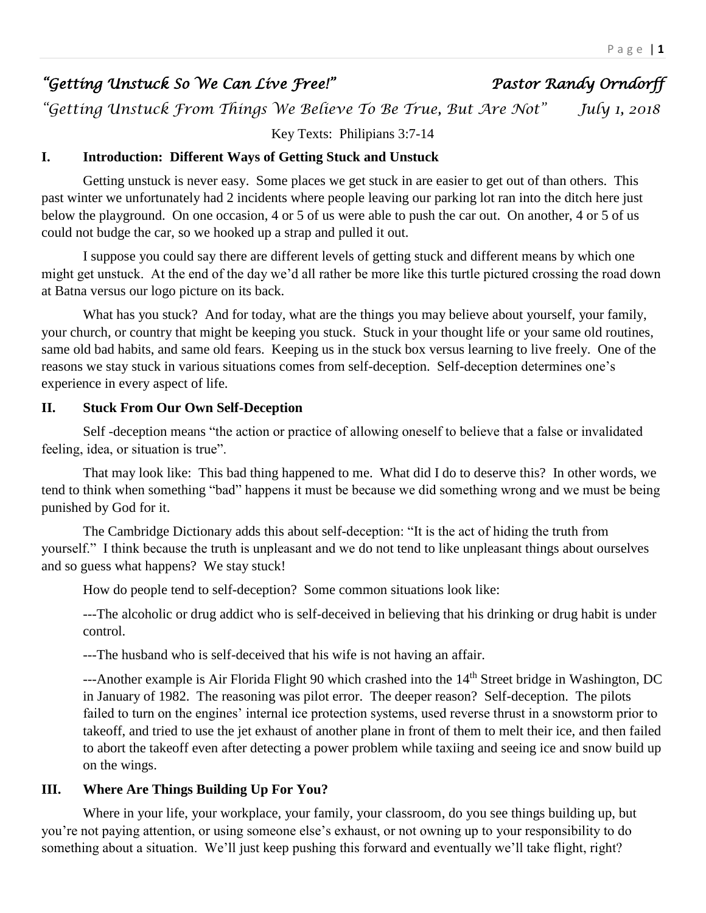# *"Getting Unstuck So We Can Live Free!" Pastor Randy Orndorff*

*"Getting Unstuck From Things We Believe To Be True, But Are Not" July 1, 2018* 

Key Texts: Philipians 3:7-14

#### **I. Introduction: Different Ways of Getting Stuck and Unstuck**

Getting unstuck is never easy. Some places we get stuck in are easier to get out of than others. This past winter we unfortunately had 2 incidents where people leaving our parking lot ran into the ditch here just below the playground. On one occasion, 4 or 5 of us were able to push the car out. On another, 4 or 5 of us could not budge the car, so we hooked up a strap and pulled it out.

I suppose you could say there are different levels of getting stuck and different means by which one might get unstuck. At the end of the day we'd all rather be more like this turtle pictured crossing the road down at Batna versus our logo picture on its back.

What has you stuck? And for today, what are the things you may believe about yourself, your family, your church, or country that might be keeping you stuck. Stuck in your thought life or your same old routines, same old bad habits, and same old fears. Keeping us in the stuck box versus learning to live freely. One of the reasons we stay stuck in various situations comes from self-deception. Self-deception determines one's experience in every aspect of life.

### **II. Stuck From Our Own Self-Deception**

Self -deception means "the action or practice of allowing oneself to believe that a false or invalidated feeling, idea, or situation is true".

That may look like: This bad thing happened to me. What did I do to deserve this? In other words, we tend to think when something "bad" happens it must be because we did something wrong and we must be being punished by God for it.

The Cambridge Dictionary adds this about self-deception: "It is the act of hiding the truth from yourself." I think because the truth is unpleasant and we do not tend to like unpleasant things about ourselves and so guess what happens? We stay stuck!

How do people tend to self-deception? Some common situations look like:

---The alcoholic or drug addict who is self-deceived in believing that his drinking or drug habit is under control.

---The husband who is self-deceived that his wife is not having an affair.

---Another example is Air Florida Flight 90 which crashed into the 14<sup>th</sup> Street bridge in Washington, DC in January of 1982. The reasoning was pilot error. The deeper reason? Self-deception. The pilots failed to turn on the engines' internal ice protection systems, used reverse thrust in a snowstorm prior to takeoff, and tried to use the jet exhaust of another plane in front of them to melt their ice, and then failed to abort the takeoff even after detecting a power problem while taxiing and seeing ice and snow build up on the wings.

# **III. Where Are Things Building Up For You?**

Where in your life, your workplace, your family, your classroom, do you see things building up, but you're not paying attention, or using someone else's exhaust, or not owning up to your responsibility to do something about a situation. We'll just keep pushing this forward and eventually we'll take flight, right?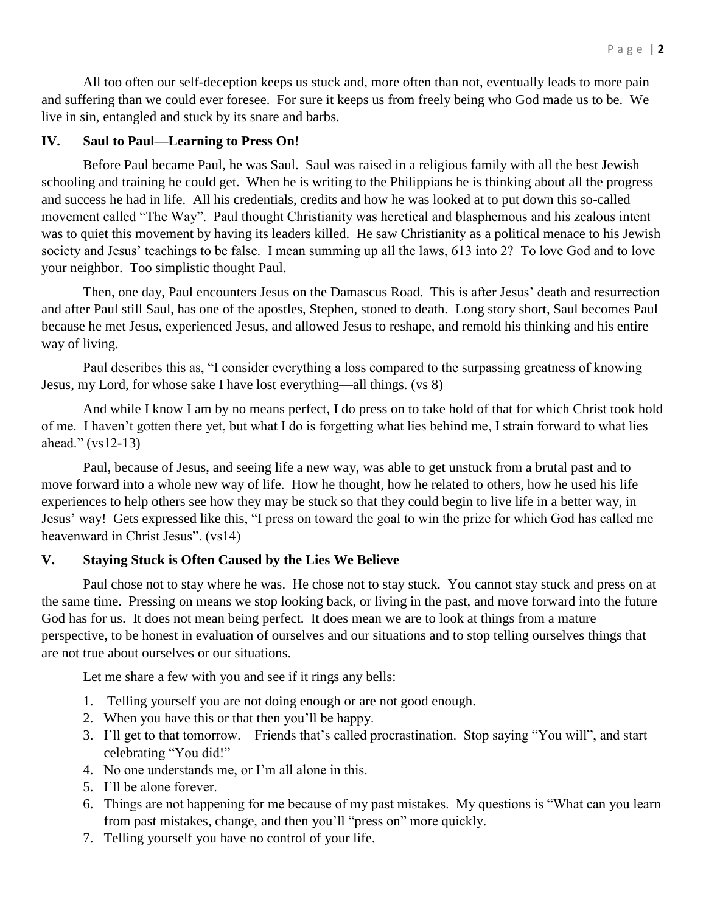All too often our self-deception keeps us stuck and, more often than not, eventually leads to more pain and suffering than we could ever foresee. For sure it keeps us from freely being who God made us to be. We live in sin, entangled and stuck by its snare and barbs.

#### **IV. Saul to Paul—Learning to Press On!**

Before Paul became Paul, he was Saul. Saul was raised in a religious family with all the best Jewish schooling and training he could get. When he is writing to the Philippians he is thinking about all the progress and success he had in life. All his credentials, credits and how he was looked at to put down this so-called movement called "The Way". Paul thought Christianity was heretical and blasphemous and his zealous intent was to quiet this movement by having its leaders killed. He saw Christianity as a political menace to his Jewish society and Jesus' teachings to be false. I mean summing up all the laws, 613 into 2? To love God and to love your neighbor. Too simplistic thought Paul.

Then, one day, Paul encounters Jesus on the Damascus Road. This is after Jesus' death and resurrection and after Paul still Saul, has one of the apostles, Stephen, stoned to death. Long story short, Saul becomes Paul because he met Jesus, experienced Jesus, and allowed Jesus to reshape, and remold his thinking and his entire way of living.

Paul describes this as, "I consider everything a loss compared to the surpassing greatness of knowing Jesus, my Lord, for whose sake I have lost everything—all things. (vs 8)

And while I know I am by no means perfect, I do press on to take hold of that for which Christ took hold of me. I haven't gotten there yet, but what I do is forgetting what lies behind me, I strain forward to what lies ahead." (vs12-13)

Paul, because of Jesus, and seeing life a new way, was able to get unstuck from a brutal past and to move forward into a whole new way of life. How he thought, how he related to others, how he used his life experiences to help others see how they may be stuck so that they could begin to live life in a better way, in Jesus' way! Gets expressed like this, "I press on toward the goal to win the prize for which God has called me heavenward in Christ Jesus". (vs14)

#### **V. Staying Stuck is Often Caused by the Lies We Believe**

Paul chose not to stay where he was. He chose not to stay stuck. You cannot stay stuck and press on at the same time. Pressing on means we stop looking back, or living in the past, and move forward into the future God has for us. It does not mean being perfect. It does mean we are to look at things from a mature perspective, to be honest in evaluation of ourselves and our situations and to stop telling ourselves things that are not true about ourselves or our situations.

Let me share a few with you and see if it rings any bells:

- 1. Telling yourself you are not doing enough or are not good enough.
- 2. When you have this or that then you'll be happy.
- 3. I'll get to that tomorrow.—Friends that's called procrastination. Stop saying "You will", and start celebrating "You did!"
- 4. No one understands me, or I'm all alone in this.
- 5. I'll be alone forever.
- 6. Things are not happening for me because of my past mistakes. My questions is "What can you learn from past mistakes, change, and then you'll "press on" more quickly.
- 7. Telling yourself you have no control of your life.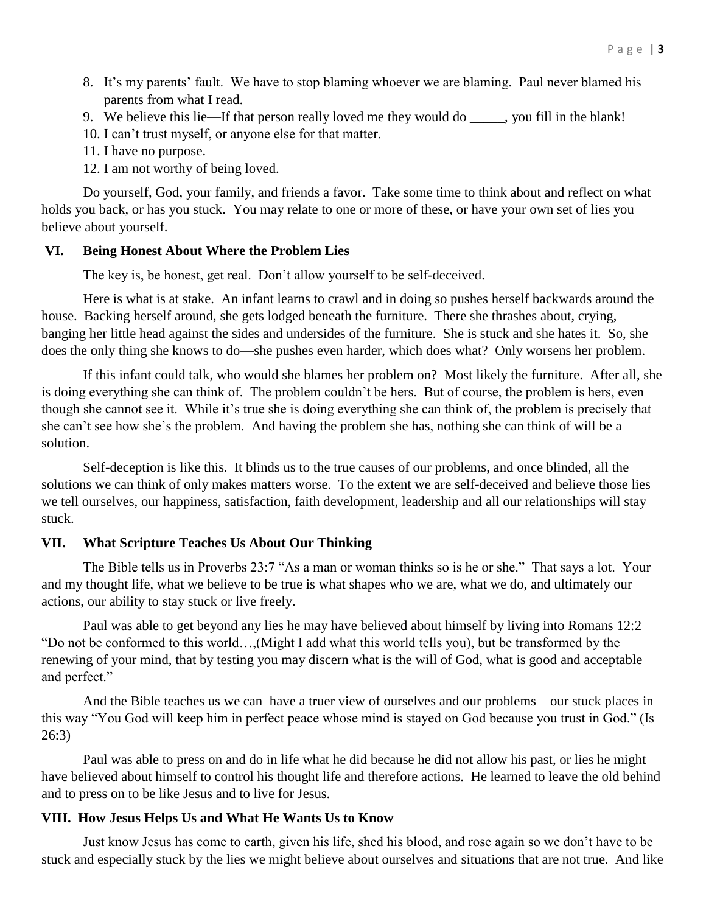- 8. It's my parents' fault. We have to stop blaming whoever we are blaming. Paul never blamed his parents from what I read.
- 9. We believe this lie—If that person really loved me they would do \_\_\_\_\_, you fill in the blank!
- 10. I can't trust myself, or anyone else for that matter.
- 11. I have no purpose.
- 12. I am not worthy of being loved.

Do yourself, God, your family, and friends a favor. Take some time to think about and reflect on what holds you back, or has you stuck. You may relate to one or more of these, or have your own set of lies you believe about yourself.

### **VI. Being Honest About Where the Problem Lies**

The key is, be honest, get real. Don't allow yourself to be self-deceived.

Here is what is at stake. An infant learns to crawl and in doing so pushes herself backwards around the house. Backing herself around, she gets lodged beneath the furniture. There she thrashes about, crying, banging her little head against the sides and undersides of the furniture. She is stuck and she hates it. So, she does the only thing she knows to do—she pushes even harder, which does what? Only worsens her problem.

If this infant could talk, who would she blames her problem on? Most likely the furniture. After all, she is doing everything she can think of. The problem couldn't be hers. But of course, the problem is hers, even though she cannot see it. While it's true she is doing everything she can think of, the problem is precisely that she can't see how she's the problem. And having the problem she has, nothing she can think of will be a solution.

Self-deception is like this. It blinds us to the true causes of our problems, and once blinded, all the solutions we can think of only makes matters worse. To the extent we are self-deceived and believe those lies we tell ourselves, our happiness, satisfaction, faith development, leadership and all our relationships will stay stuck.

# **VII. What Scripture Teaches Us About Our Thinking**

The Bible tells us in Proverbs 23:7 "As a man or woman thinks so is he or she." That says a lot. Your and my thought life, what we believe to be true is what shapes who we are, what we do, and ultimately our actions, our ability to stay stuck or live freely.

Paul was able to get beyond any lies he may have believed about himself by living into Romans 12:2 "Do not be conformed to this world…,(Might I add what this world tells you), but be transformed by the renewing of your mind, that by testing you may discern what is the will of God, what is good and acceptable and perfect."

And the Bible teaches us we can have a truer view of ourselves and our problems—our stuck places in this way "You God will keep him in perfect peace whose mind is stayed on God because you trust in God." (Is 26:3)

Paul was able to press on and do in life what he did because he did not allow his past, or lies he might have believed about himself to control his thought life and therefore actions. He learned to leave the old behind and to press on to be like Jesus and to live for Jesus.

# **VIII. How Jesus Helps Us and What He Wants Us to Know**

Just know Jesus has come to earth, given his life, shed his blood, and rose again so we don't have to be stuck and especially stuck by the lies we might believe about ourselves and situations that are not true. And like